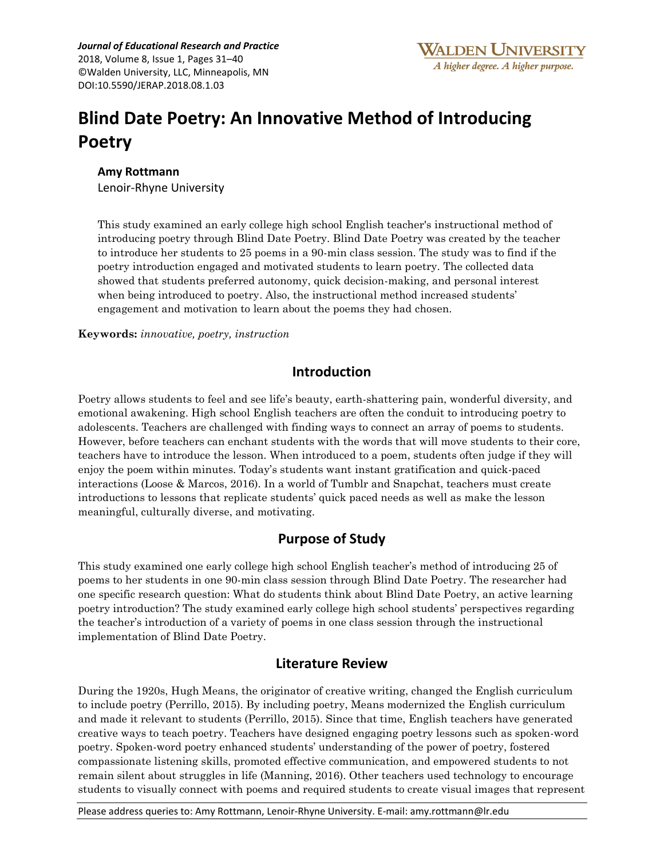*Journal of Educational Research and Practice* 2018, Volume 8, Issue 1, Pages 31–40 ©Walden University, LLC, Minneapolis, MN DOI:10.5590/JERAP.2018.08.1.03

# **Blind Date Poetry: An Innovative Method of Introducing Poetry**

#### **Amy Rottmann**

Lenoir-Rhyne University

This study examined an early college high school English teacher's instructional method of introducing poetry through Blind Date Poetry. Blind Date Poetry was created by the teacher to introduce her students to 25 poems in a 90-min class session. The study was to find if the poetry introduction engaged and motivated students to learn poetry. The collected data showed that students preferred autonomy, quick decision-making, and personal interest when being introduced to poetry. Also, the instructional method increased students' engagement and motivation to learn about the poems they had chosen.

**Keywords:** *innovative, poetry, instruction*

### **Introduction**

Poetry allows students to feel and see life's beauty, earth-shattering pain, wonderful diversity, and emotional awakening. High school English teachers are often the conduit to introducing poetry to adolescents. Teachers are challenged with finding ways to connect an array of poems to students. However, before teachers can enchant students with the words that will move students to their core, teachers have to introduce the lesson. When introduced to a poem, students often judge if they will enjoy the poem within minutes. Today's students want instant gratification and quick-paced interactions (Loose & Marcos, 2016). In a world of Tumblr and Snapchat, teachers must create introductions to lessons that replicate students' quick paced needs as well as make the lesson meaningful, culturally diverse, and motivating.

### **Purpose of Study**

This study examined one early college high school English teacher's method of introducing 25 of poems to her students in one 90-min class session through Blind Date Poetry. The researcher had one specific research question: What do students think about Blind Date Poetry, an active learning poetry introduction? The study examined early college high school students' perspectives regarding the teacher's introduction of a variety of poems in one class session through the instructional implementation of Blind Date Poetry.

### **Literature Review**

During the 1920s, Hugh Means, the originator of creative writing, changed the English curriculum to include poetry (Perrillo, 2015). By including poetry, Means modernized the English curriculum and made it relevant to students (Perrillo, 2015). Since that time, English teachers have generated creative ways to teach poetry. Teachers have designed engaging poetry lessons such as spoken-word poetry. Spoken-word poetry enhanced students' understanding of the power of poetry, fostered compassionate listening skills, promoted effective communication, and empowered students to not remain silent about struggles in life (Manning, 2016). Other teachers used technology to encourage students to visually connect with poems and required students to create visual images that represent

Please address queries to: Amy Rottmann, Lenoir-Rhyne University. E-mail: amy.rottmann@lr.edu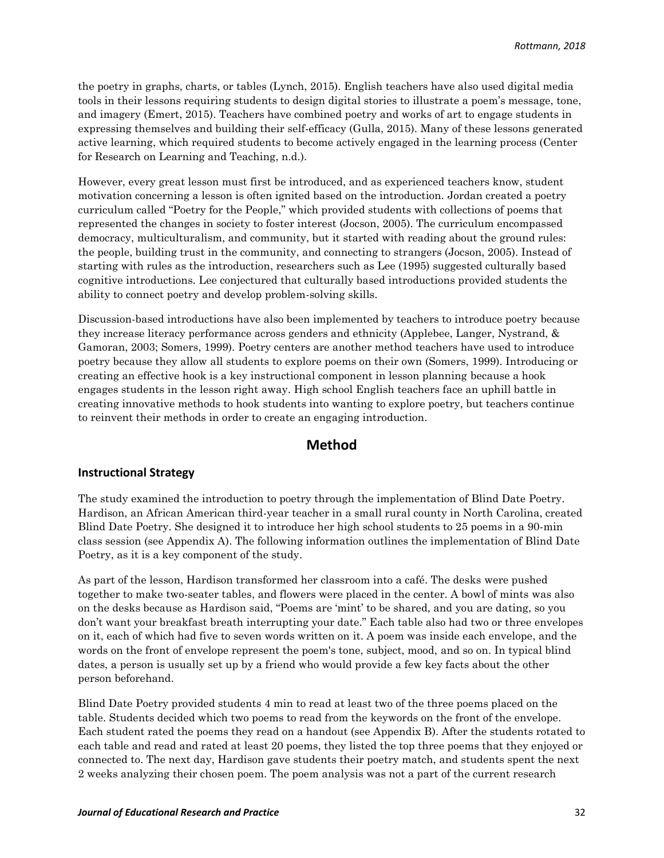the poetry in graphs, charts, or tables (Lynch, 2015). English teachers have also used digital media tools in their lessons requiring students to design digital stories to illustrate a poem's message, tone, and imagery (Emert, 2015). Teachers have combined poetry and works of art to engage students in expressing themselves and building their self-efficacy (Gulla, 2015). Many of these lessons generated active learning, which required students to become actively engaged in the learning process (Center for Research on Learning and Teaching, n.d.).

However, every great lesson must first be introduced, and as experienced teachers know, student motivation concerning a lesson is often ignited based on the introduction. Jordan created a poetry curriculum called "Poetry for the People," which provided students with collections of poems that represented the changes in society to foster interest (Jocson, 2005). The curriculum encompassed democracy, multiculturalism, and community, but it started with reading about the ground rules: the people, building trust in the community, and connecting to strangers (Jocson, 2005). Instead of starting with rules as the introduction, researchers such as Lee (1995) suggested culturally based cognitive introductions. Lee conjectured that culturally based introductions provided students the ability to connect poetry and develop problem-solving skills.

Discussion-based introductions have also been implemented by teachers to introduce poetry because they increase literacy performance across genders and ethnicity (Applebee, Langer, Nystrand, & Gamoran, 2003; Somers, 1999). Poetry centers are another method teachers have used to introduce poetry because they allow all students to explore poems on their own (Somers, 1999). Introducing or creating an effective hook is a key instructional component in lesson planning because a hook engages students in the lesson right away. High school English teachers face an uphill battle in creating innovative methods to hook students into wanting to explore poetry, but teachers continue to reinvent their methods in order to create an engaging introduction.

#### **Method**

#### **Instructional Strategy**

The study examined the introduction to poetry through the implementation of Blind Date Poetry. Hardison, an African American third-year teacher in a small rural county in North Carolina, created Blind Date Poetry. She designed it to introduce her high school students to 25 poems in a 90-min class session (see Appendix A). The following information outlines the implementation of Blind Date Poetry, as it is a key component of the study.

As part of the lesson, Hardison transformed her classroom into a café. The desks were pushed together to make two-seater tables, and flowers were placed in the center. A bowl of mints was also on the desks because as Hardison said, "Poems are 'mint' to be shared, and you are dating, so you don't want your breakfast breath interrupting your date." Each table also had two or three envelopes on it, each of which had five to seven words written on it. A poem was inside each envelope, and the words on the front of envelope represent the poem's tone, subject, mood, and so on. In typical blind dates, a person is usually set up by a friend who would provide a few key facts about the other person beforehand.

Blind Date Poetry provided students 4 min to read at least two of the three poems placed on the table. Students decided which two poems to read from the keywords on the front of the envelope. Each student rated the poems they read on a handout (see Appendix B). After the students rotated to each table and read and rated at least 20 poems, they listed the top three poems that they enjoyed or connected to. The next day, Hardison gave students their poetry match, and students spent the next 2 weeks analyzing their chosen poem. The poem analysis was not a part of the current research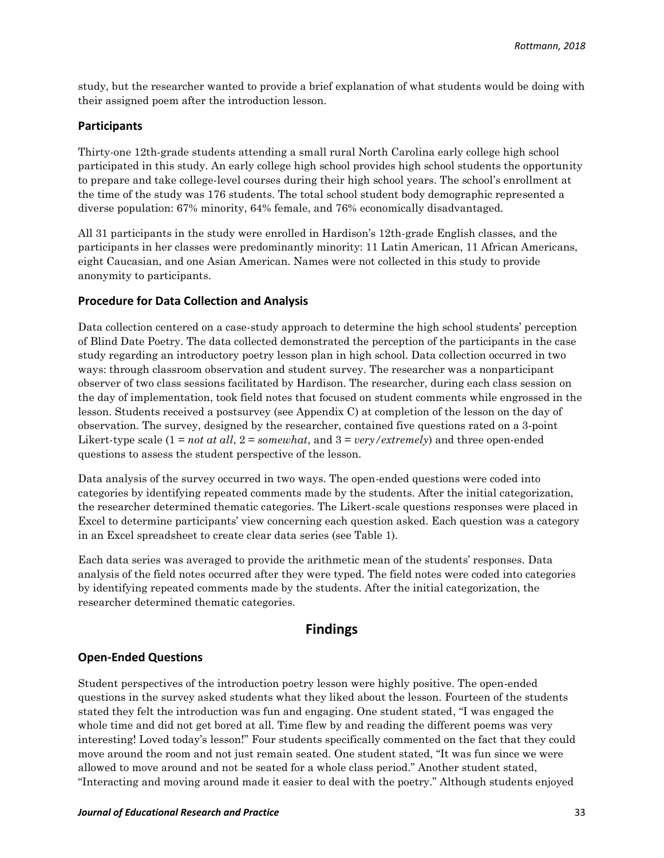study, but the researcher wanted to provide a brief explanation of what students would be doing with their assigned poem after the introduction lesson.

#### **Participants**

Thirty-one 12th-grade students attending a small rural North Carolina early college high school participated in this study. An early college high school provides high school students the opportunity to prepare and take college-level courses during their high school years. The school's enrollment at the time of the study was 176 students. The total school student body demographic represented a diverse population: 67% minority, 64% female, and 76% economically disadvantaged.

All 31 participants in the study were enrolled in Hardison's 12th-grade English classes, and the participants in her classes were predominantly minority: 11 Latin American, 11 African Americans, eight Caucasian, and one Asian American. Names were not collected in this study to provide anonymity to participants.

#### **Procedure for Data Collection and Analysis**

Data collection centered on a case-study approach to determine the high school students' perception of Blind Date Poetry. The data collected demonstrated the perception of the participants in the case study regarding an introductory poetry lesson plan in high school. Data collection occurred in two ways: through classroom observation and student survey. The researcher was a nonparticipant observer of two class sessions facilitated by Hardison. The researcher, during each class session on the day of implementation, took field notes that focused on student comments while engrossed in the lesson. Students received a postsurvey (see Appendix C) at completion of the lesson on the day of observation. The survey, designed by the researcher, contained five questions rated on a 3-point Likert-type scale (1 = *not at all*, 2 = *somewhat*, and 3 = *very/extremely*) and three open-ended questions to assess the student perspective of the lesson.

Data analysis of the survey occurred in two ways. The open-ended questions were coded into categories by identifying repeated comments made by the students. After the initial categorization, the researcher determined thematic categories. The Likert-scale questions responses were placed in Excel to determine participants' view concerning each question asked. Each question was a category in an Excel spreadsheet to create clear data series (see Table 1).

Each data series was averaged to provide the arithmetic mean of the students' responses. Data analysis of the field notes occurred after they were typed. The field notes were coded into categories by identifying repeated comments made by the students. After the initial categorization, the researcher determined thematic categories.

#### **Findings**

#### **Open-Ended Questions**

Student perspectives of the introduction poetry lesson were highly positive. The open-ended questions in the survey asked students what they liked about the lesson. Fourteen of the students stated they felt the introduction was fun and engaging. One student stated, "I was engaged the whole time and did not get bored at all. Time flew by and reading the different poems was very interesting! Loved today's lesson!" Four students specifically commented on the fact that they could move around the room and not just remain seated. One student stated, "It was fun since we were allowed to move around and not be seated for a whole class period." Another student stated, "Interacting and moving around made it easier to deal with the poetry." Although students enjoyed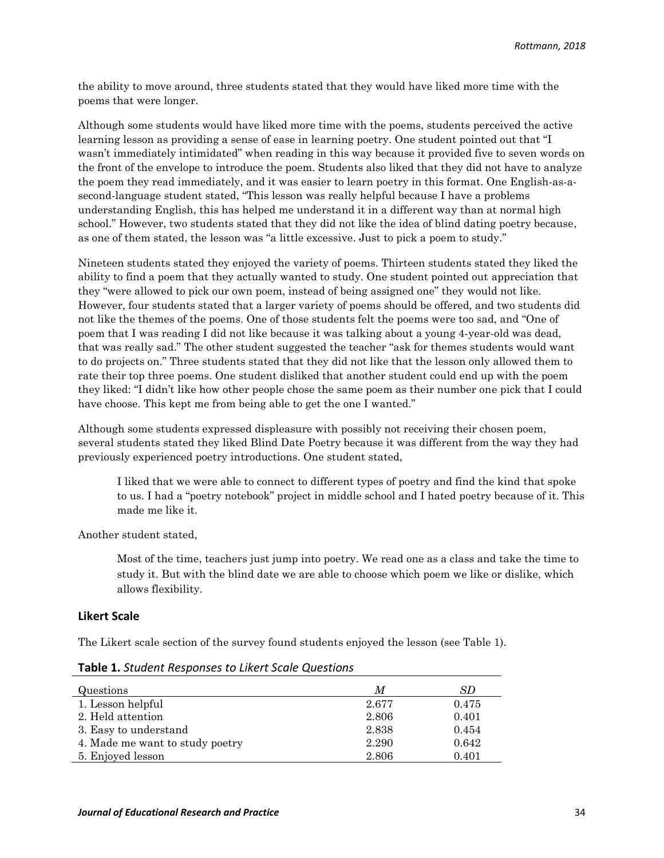the ability to move around, three students stated that they would have liked more time with the poems that were longer.

Although some students would have liked more time with the poems, students perceived the active learning lesson as providing a sense of ease in learning poetry. One student pointed out that "I wasn't immediately intimidated" when reading in this way because it provided five to seven words on the front of the envelope to introduce the poem. Students also liked that they did not have to analyze the poem they read immediately, and it was easier to learn poetry in this format. One English-as-asecond-language student stated, "This lesson was really helpful because I have a problems understanding English, this has helped me understand it in a different way than at normal high school." However, two students stated that they did not like the idea of blind dating poetry because, as one of them stated, the lesson was "a little excessive. Just to pick a poem to study."

Nineteen students stated they enjoyed the variety of poems. Thirteen students stated they liked the ability to find a poem that they actually wanted to study. One student pointed out appreciation that they "were allowed to pick our own poem, instead of being assigned one" they would not like. However, four students stated that a larger variety of poems should be offered, and two students did not like the themes of the poems. One of those students felt the poems were too sad, and "One of poem that I was reading I did not like because it was talking about a young 4-year-old was dead, that was really sad." The other student suggested the teacher "ask for themes students would want to do projects on." Three students stated that they did not like that the lesson only allowed them to rate their top three poems. One student disliked that another student could end up with the poem they liked: "I didn't like how other people chose the same poem as their number one pick that I could have choose. This kept me from being able to get the one I wanted."

Although some students expressed displeasure with possibly not receiving their chosen poem, several students stated they liked Blind Date Poetry because it was different from the way they had previously experienced poetry introductions. One student stated,

I liked that we were able to connect to different types of poetry and find the kind that spoke to us. I had a "poetry notebook" project in middle school and I hated poetry because of it. This made me like it.

Another student stated,

Most of the time, teachers just jump into poetry. We read one as a class and take the time to study it. But with the blind date we are able to choose which poem we like or dislike, which allows flexibility.

#### **Likert Scale**

The Likert scale section of the survey found students enjoyed the lesson (see Table 1).

| Questions                       | M     | SD.   |
|---------------------------------|-------|-------|
| 1. Lesson helpful               | 2.677 | 0.475 |
| 2. Held attention               | 2.806 | 0.401 |
| 3. Easy to understand           | 2.838 | 0.454 |
| 4. Made me want to study poetry | 2.290 | 0.642 |
| 5. Enjoyed lesson               | 2.806 | 0.401 |

**Table 1.** *Student Responses to Likert Scale Questions*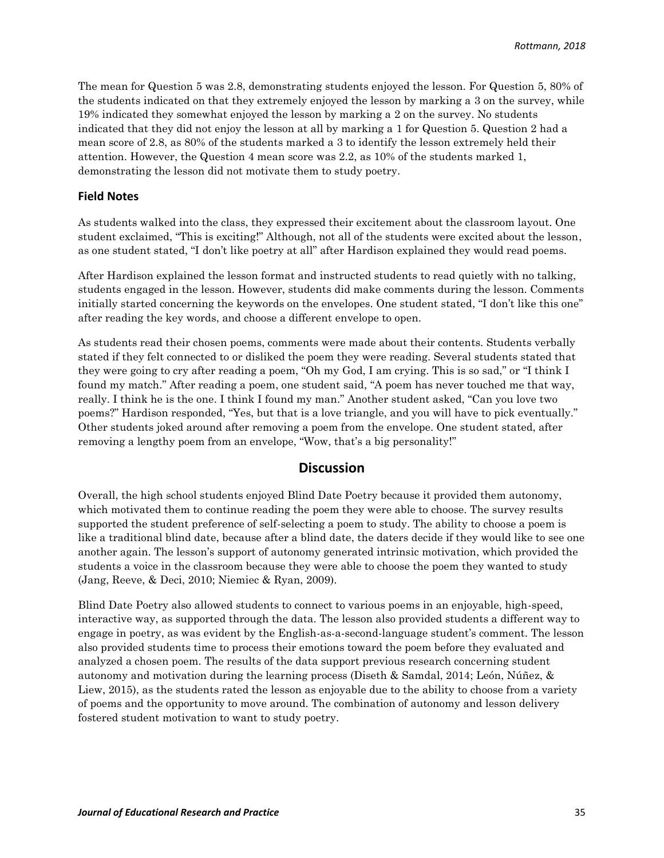The mean for Question 5 was 2.8, demonstrating students enjoyed the lesson. For Question 5, 80% of the students indicated on that they extremely enjoyed the lesson by marking a 3 on the survey, while 19% indicated they somewhat enjoyed the lesson by marking a 2 on the survey. No students indicated that they did not enjoy the lesson at all by marking a 1 for Question 5. Question 2 had a mean score of 2.8, as 80% of the students marked a 3 to identify the lesson extremely held their attention. However, the Question 4 mean score was 2.2, as 10% of the students marked 1, demonstrating the lesson did not motivate them to study poetry.

#### **Field Notes**

As students walked into the class, they expressed their excitement about the classroom layout. One student exclaimed, "This is exciting!" Although, not all of the students were excited about the lesson, as one student stated, "I don't like poetry at all" after Hardison explained they would read poems.

After Hardison explained the lesson format and instructed students to read quietly with no talking, students engaged in the lesson. However, students did make comments during the lesson. Comments initially started concerning the keywords on the envelopes. One student stated, "I don't like this one" after reading the key words, and choose a different envelope to open.

As students read their chosen poems, comments were made about their contents. Students verbally stated if they felt connected to or disliked the poem they were reading. Several students stated that they were going to cry after reading a poem, "Oh my God, I am crying. This is so sad," or "I think I found my match." After reading a poem, one student said, "A poem has never touched me that way, really. I think he is the one. I think I found my man." Another student asked, "Can you love two poems?" Hardison responded, "Yes, but that is a love triangle, and you will have to pick eventually." Other students joked around after removing a poem from the envelope. One student stated, after removing a lengthy poem from an envelope, "Wow, that's a big personality!"

#### **Discussion**

Overall, the high school students enjoyed Blind Date Poetry because it provided them autonomy, which motivated them to continue reading the poem they were able to choose. The survey results supported the student preference of self-selecting a poem to study. The ability to choose a poem is like a traditional blind date, because after a blind date, the daters decide if they would like to see one another again. The lesson's support of autonomy generated intrinsic motivation, which provided the students a voice in the classroom because they were able to choose the poem they wanted to study (Jang, Reeve, & Deci, 2010; Niemiec & Ryan, 2009).

Blind Date Poetry also allowed students to connect to various poems in an enjoyable, high-speed, interactive way, as supported through the data. The lesson also provided students a different way to engage in poetry, as was evident by the English-as-a-second-language student's comment. The lesson also provided students time to process their emotions toward the poem before they evaluated and analyzed a chosen poem. The results of the data support previous research concerning student autonomy and motivation during the learning process (Diseth & Samdal, 2014; León, Núñez, & Liew, 2015), as the students rated the lesson as enjoyable due to the ability to choose from a variety of poems and the opportunity to move around. The combination of autonomy and lesson delivery fostered student motivation to want to study poetry.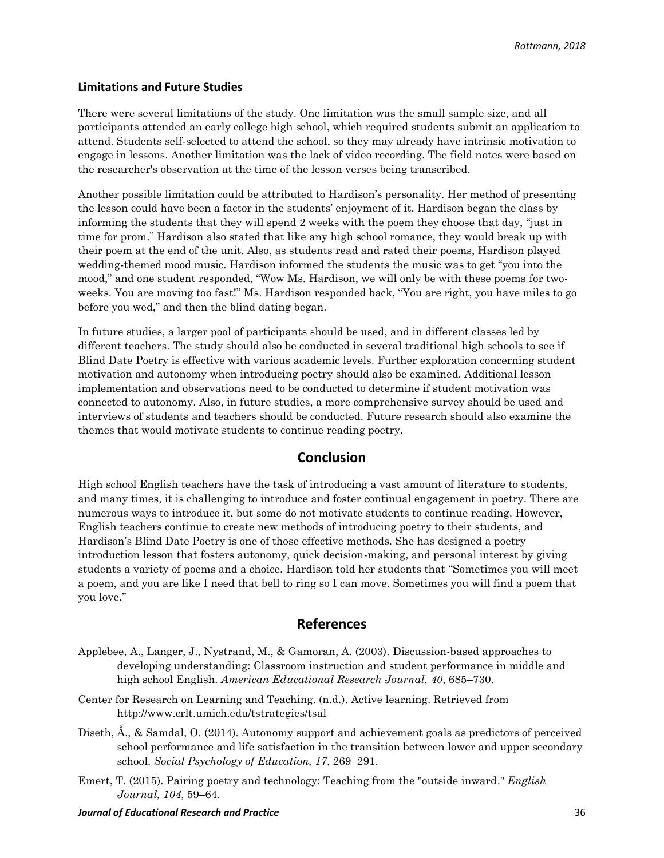#### **Limitations and Future Studies**

There were several limitations of the study. One limitation was the small sample size, and all participants attended an early college high school, which required students submit an application to attend. Students self-selected to attend the school, so they may already have intrinsic motivation to engage in lessons. Another limitation was the lack of video recording. The field notes were based on the researcher's observation at the time of the lesson verses being transcribed.

Another possible limitation could be attributed to Hardison's personality. Her method of presenting the lesson could have been a factor in the students' enjoyment of it. Hardison began the class by informing the students that they will spend 2 weeks with the poem they choose that day, "just in time for prom." Hardison also stated that like any high school romance, they would break up with their poem at the end of the unit. Also, as students read and rated their poems, Hardison played wedding-themed mood music. Hardison informed the students the music was to get "you into the mood," and one student responded, "Wow Ms. Hardison, we will only be with these poems for twoweeks. You are moving too fast!" Ms. Hardison responded back, "You are right, you have miles to go before you wed," and then the blind dating began.

In future studies, a larger pool of participants should be used, and in different classes led by different teachers. The study should also be conducted in several traditional high schools to see if Blind Date Poetry is effective with various academic levels. Further exploration concerning student motivation and autonomy when introducing poetry should also be examined. Additional lesson implementation and observations need to be conducted to determine if student motivation was connected to autonomy. Also, in future studies, a more comprehensive survey should be used and interviews of students and teachers should be conducted. Future research should also examine the themes that would motivate students to continue reading poetry.

#### **Conclusion**

High school English teachers have the task of introducing a vast amount of literature to students, and many times, it is challenging to introduce and foster continual engagement in poetry. There are numerous ways to introduce it, but some do not motivate students to continue reading. However, English teachers continue to create new methods of introducing poetry to their students, and Hardison's Blind Date Poetry is one of those effective methods. She has designed a poetry introduction lesson that fosters autonomy, quick decision-making, and personal interest by giving students a variety of poems and a choice. Hardison told her students that "Sometimes you will meet a poem, and you are like I need that bell to ring so I can move. Sometimes you will find a poem that you love."

### **References**

- Applebee, A., Langer, J., Nystrand, M., & Gamoran, A. (2003). Discussion-based approaches to developing understanding: Classroom instruction and student performance in middle and high school English. *American Educational Research Journal, 40*, 685–730.
- Center for Research on Learning and Teaching. (n.d.). Active learning. Retrieved from http://www.crlt.umich.edu/tstrategies/tsal
- Diseth, Å., & Samdal, O. (2014). Autonomy support and achievement goals as predictors of perceived school performance and life satisfaction in the transition between lower and upper secondary school. *Social Psychology of Education, 17*, 269–291.
- Emert, T. (2015). Pairing poetry and technology: Teaching from the "outside inward." *English Journal, 104*, 59–64.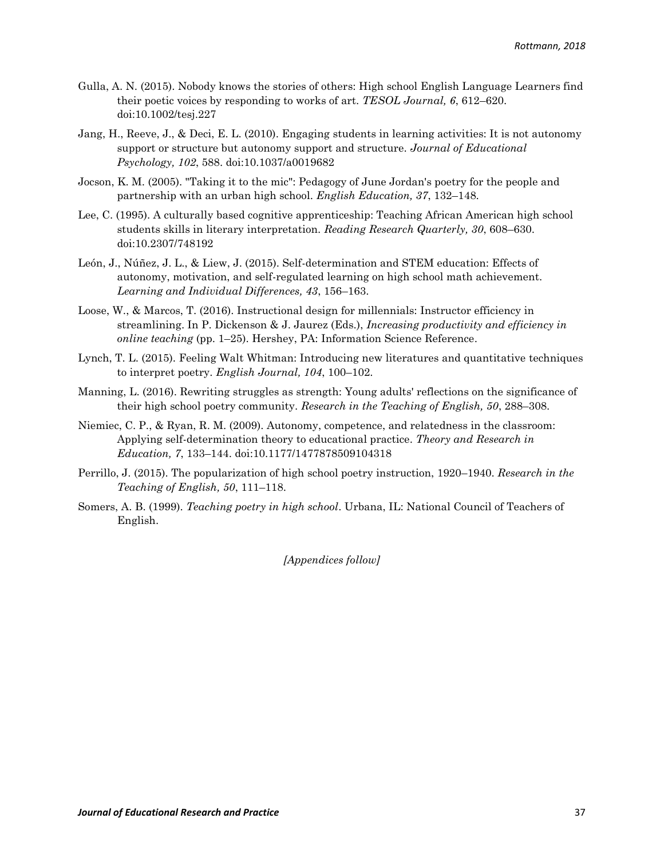- Gulla, A. N. (2015). Nobody knows the stories of others: High school English Language Learners find their poetic voices by responding to works of art. *TESOL Journal, 6*, 612–620. doi:10.1002/tesj.227
- Jang, H., Reeve, J., & Deci, E. L. (2010). Engaging students in learning activities: It is not autonomy support or structure but autonomy support and structure. *Journal of Educational Psychology, 102*, 588. doi:10.1037/a0019682
- Jocson, K. M. (2005). "Taking it to the mic": Pedagogy of June Jordan's poetry for the people and partnership with an urban high school. *English Education, 37*, 132–148.
- Lee, C. (1995). A culturally based cognitive apprenticeship: Teaching African American high school students skills in literary interpretation. *Reading Research Quarterly, 30*, 608–630. doi:10.2307/748192
- León, J., Núñez, J. L., & Liew, J. (2015). Self-determination and STEM education: Effects of autonomy, motivation, and self-regulated learning on high school math achievement. *Learning and Individual Differences, 43*, 156–163.
- Loose, W., & Marcos, T. (2016). Instructional design for millennials: Instructor efficiency in streamlining. In P. Dickenson & J. Jaurez (Eds.), *Increasing productivity and efficiency in online teaching* (pp. 1–25). Hershey, PA: Information Science Reference.
- Lynch, T. L. (2015). Feeling Walt Whitman: Introducing new literatures and quantitative techniques to interpret poetry. *English Journal, 104*, 100–102.
- Manning, L. (2016). Rewriting struggles as strength: Young adults' reflections on the significance of their high school poetry community. *Research in the Teaching of English, 50*, 288–308.
- Niemiec, C. P., & Ryan, R. M. (2009). Autonomy, competence, and relatedness in the classroom: Applying self-determination theory to educational practice. *Theory and Research in Education, 7*, 133–144. doi:10.1177/1477878509104318
- Perrillo, J. (2015). The popularization of high school poetry instruction, 1920–1940. *Research in the Teaching of English, 50*, 111–118.
- Somers, A. B. (1999). *Teaching poetry in high school*. Urbana, IL: National Council of Teachers of English.

*[Appendices follow]*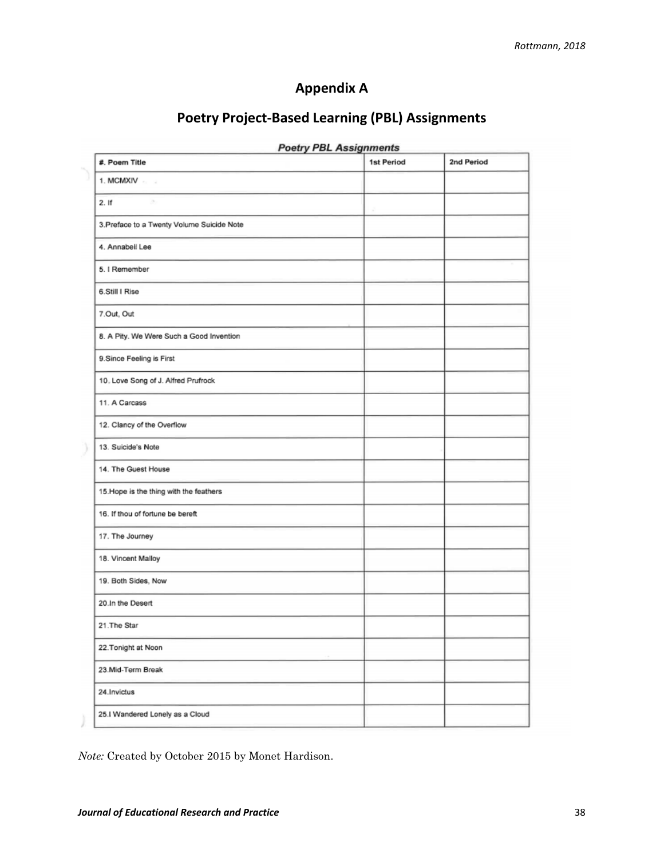## **Appendix A**

| #. Poem Title                              | 1st Period | 2nd Period |
|--------------------------------------------|------------|------------|
| 1. MCMXIV                                  |            |            |
| 2. If<br>$\alpha$                          |            |            |
| 3. Preface to a Twenty Volume Suicide Note |            |            |
| 4. Annabell Lee                            |            |            |
| 5. I Remember                              |            |            |
| 6.Still I Rise                             |            |            |
| 7.Out, Out                                 |            |            |
| 8. A Pity. We Were Such a Good Invention   |            |            |
| 9.Since Feeling is First                   |            |            |
| 10, Love Song of J. Alfred Prufrock        |            |            |
| 11. A Carcass                              |            |            |
| 12. Clancy of the Overflow                 |            |            |
| 13. Suicide's Note                         |            |            |
| 14. The Guest House                        |            |            |
| 15. Hope is the thing with the feathers    |            |            |
| 16. If thou of fortune be bereft           |            |            |
| 17. The Journey                            |            |            |
| 18. Vincent Malloy                         |            |            |
| 19. Both Sides, Now                        |            |            |
| 20.In the Desert                           |            |            |
| 21. The Star                               |            |            |
| 22. Tonight at Noon                        |            |            |
| 23.Mid-Term Break                          |            |            |
| 24. Invictus                               |            |            |
| 25.I Wandered Lonely as a Cloud            |            |            |

## **Poetry Project-Based Learning (PBL) Assignments**

*Note:* Created by October 2015 by Monet Hardison.

Ĵ.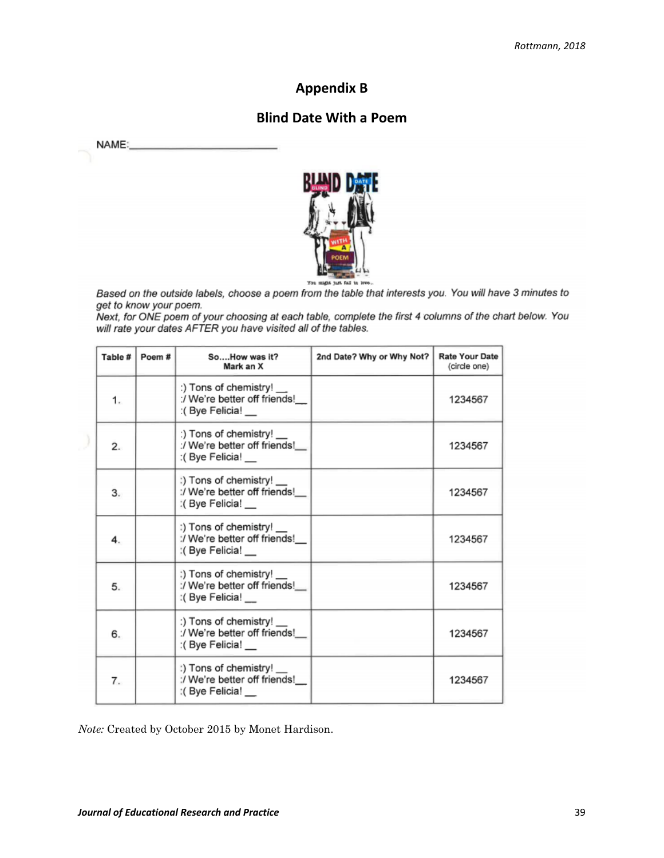## **Appendix B**

## **Blind Date With a Poem**

| <b>NAME</b> |  |
|-------------|--|
|             |  |



Based on the outside labels, choose a poem from the table that interests you. You will have 3 minutes to get to know your poem.

Next, for ONE poem of your choosing at each table, complete the first 4 columns of the chart below. You will rate your dates AFTER you have visited all of the tables.

| 1234567 |
|---------|
|         |
| 1234567 |
| 1234567 |
| 1234567 |
| 1234567 |
| 1234567 |
| 1234567 |
|         |

*Note:* Created by October 2015 by Monet Hardison.